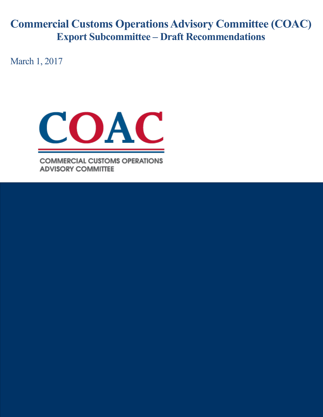# **Commercial Customs Operations Advisory Committee (COAC) Export Subcommittee – Draft Recommendations**

March 1, 2017



**COMMERCIAL CUSTOMS OPERATIONS ADVISORY COMMITTEE**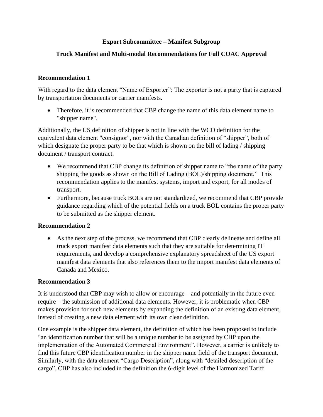# **Export Subcommittee – Manifest Subgroup**

# **Truck Manifest and Multi-modal Recommendations for Full COAC Approval**

#### **Recommendation 1**

With regard to the data element "Name of Exporter": The exporter is not a party that is captured by transportation documents or carrier manifests.

• Therefore, it is recommended that CBP change the name of this data element name to "shipper name".

Additionally, the US definition of shipper is not in line with the WCO definition for the equivalent data element "consignor", nor with the Canadian definition of "shipper", both of which designate the proper party to be that which is shown on the bill of lading / shipping document / transport contract.

- We recommend that CBP change its definition of shipper name to "the name of the party shipping the goods as shown on the Bill of Lading (BOL)/shipping document." This recommendation applies to the manifest systems, import and export, for all modes of transport.
- Furthermore, because truck BOLs are not standardized, we recommend that CBP provide guidance regarding which of the potential fields on a truck BOL contains the proper party to be submitted as the shipper element.

# **Recommendation 2**

 As the next step of the process, we recommend that CBP clearly delineate and define all truck export manifest data elements such that they are suitable for determining IT requirements, and develop a comprehensive explanatory spreadsheet of the US export manifest data elements that also references them to the import manifest data elements of Canada and Mexico.

#### **Recommendation 3**

It is understood that CBP may wish to allow or encourage – and potentially in the future even require – the submission of additional data elements. However, it is problematic when CBP makes provision for such new elements by expanding the definition of an existing data element, instead of creating a new data element with its own clear definition.

One example is the shipper data element, the definition of which has been proposed to include "an identification number that will be a unique number to be assigned by CBP upon the implementation of the Automated Commercial Environment". However, a carrier is unlikely to find this future CBP identification number in the shipper name field of the transport document. Similarly, with the data element "Cargo Description", along with "detailed description of the cargo", CBP has also included in the definition the 6-digit level of the Harmonized Tariff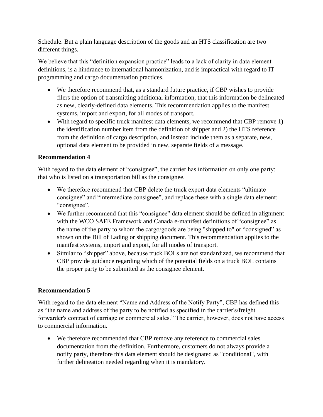Schedule. But a plain language description of the goods and an HTS classification are two different things.

We believe that this "definition expansion practice" leads to a lack of clarity in data element definitions, is a hindrance to international harmonization, and is impractical with regard to IT programming and cargo documentation practices.

- We therefore recommend that, as a standard future practice, if CBP wishes to provide filers the option of transmitting additional information, that this information be delineated as new, clearly-defined data elements. This recommendation applies to the manifest systems, import and export, for all modes of transport.
- With regard to specific truck manifest data elements, we recommend that CBP remove 1) the identification number item from the definition of shipper and 2) the HTS reference from the definition of cargo description, and instead include them as a separate, new, optional data element to be provided in new, separate fields of a message.

# **Recommendation 4**

With regard to the data element of "consignee", the carrier has information on only one party: that who is listed on a transportation bill as the consignee.

- We therefore recommend that CBP delete the truck export data elements "ultimate consignee" and "intermediate consignee", and replace these with a single data element: "consignee".
- We further recommend that this "consignee" data element should be defined in alignment with the WCO SAFE Framework and Canada e-manifest definitions of "consignee" as the name of the party to whom the cargo/goods are being "shipped to" or "consigned" as shown on the Bill of Lading or shipping document. This recommendation applies to the manifest systems, import and export, for all modes of transport.
- Similar to "shipper" above, because truck BOLs are not standardized, we recommend that CBP provide guidance regarding which of the potential fields on a truck BOL contains the proper party to be submitted as the consignee element.

# **Recommendation 5**

With regard to the data element "Name and Address of the Notify Party", CBP has defined this as "the name and address of the party to be notified as specified in the carrier's/freight forwarder's contract of carriage or commercial sales." The carrier, however, does not have access to commercial information.

 We therefore recommended that CBP remove any reference to commercial sales documentation from the definition. Furthermore, customers do not always provide a notify party, therefore this data element should be designated as "conditional", with further delineation needed regarding when it is mandatory.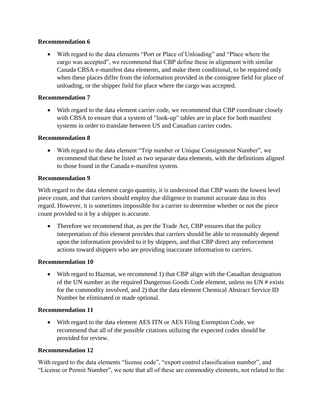# **Recommendation 6**

 With regard to the data elements "Port or Place of Unloading" and "Place where the cargo was accepted", we recommend that CBP define these in alignment with similar Canada CBSA e-manifest data elements, and make them conditional, to be required only when these places differ from the information provided in the consignee field for place of unloading, or the shipper field for place where the cargo was accepted.

#### **Recommendation 7**

• With regard to the data element carrier code, we recommend that CBP coordinate closely with CBSA to ensure that a system of "look-up" tables are in place for both manifest systems in order to translate between US and Canadian carrier codes.

#### **Recommendation 8**

 With regard to the data element "Trip number or Unique Consignment Number", we recommend that these be listed as two separate data elements, with the definitions aligned to those found in the Canada e-manifest system.

#### **Recommendation 9**

With regard to the data element cargo quantity, it is understood that CBP wants the lowest level piece count, and that carriers should employ due diligence to transmit accurate data in this regard. However, it is sometimes impossible for a carrier to determine whether or not the piece count provided to it by a shipper is accurate.

• Therefore we recommend that, as per the Trade Act, CBP ensures that the policy interpretation of this element provides that carriers should be able to reasonably depend upon the information provided to it by shippers, and that CBP direct any enforcement actions toward shippers who are providing inaccurate information to carriers.

#### **Recommendation 10**

• With regard to Hazmat, we recommend 1) that CBP align with the Canadian designation of the UN number as the required Dangerous Goods Code element, unless no UN # exists for the commodity involved, and 2) that the data element Chemical Abstract Service ID Number be eliminated or made optional.

# **Recommendation 11**

 With regard to the data element AES ITN or AES Filing Exemption Code, we recommend that all of the possible citations utilizing the expected codes should be provided for review.

# **Recommendation 12**

With regard to the data elements "license code", "export control classification number", and "License or Permit Number", we note that all of these are commodity elements, not related to the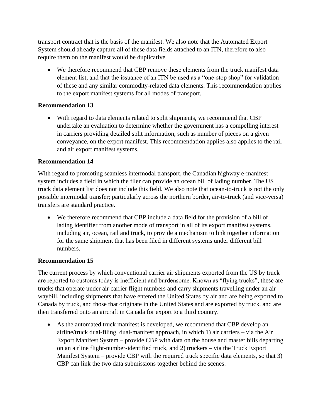transport contract that is the basis of the manifest. We also note that the Automated Export System should already capture all of these data fields attached to an ITN, therefore to also require them on the manifest would be duplicative.

 We therefore recommend that CBP remove these elements from the truck manifest data element list, and that the issuance of an ITN be used as a "one-stop shop" for validation of these and any similar commodity-related data elements. This recommendation applies to the export manifest systems for all modes of transport.

# **Recommendation 13**

 With regard to data elements related to split shipments, we recommend that CBP undertake an evaluation to determine whether the government has a compelling interest in carriers providing detailed split information, such as number of pieces on a given conveyance, on the export manifest. This recommendation applies also applies to the rail and air export manifest systems.

#### **Recommendation 14**

With regard to promoting seamless intermodal transport, the Canadian highway e-manifest system includes a field in which the filer can provide an ocean bill of lading number. The US truck data element list does not include this field. We also note that ocean-to-truck is not the only possible intermodal transfer; particularly across the northern border, air-to-truck (and vice-versa) transfers are standard practice.

 We therefore recommend that CBP include a data field for the provision of a bill of lading identifier from another mode of transport in all of its export manifest systems, including air, ocean, rail and truck, to provide a mechanism to link together information for the same shipment that has been filed in different systems under different bill numbers.

# **Recommendation 15**

The current process by which conventional carrier air shipments exported from the US by truck are reported to customs today is inefficient and burdensome. Known as "flying trucks", these are trucks that operate under air carrier flight numbers and carry shipments travelling under an air waybill, including shipments that have entered the United States by air and are being exported to Canada by truck, and those that originate in the United States and are exported by truck, and are then transferred onto an aircraft in Canada for export to a third country.

 As the automated truck manifest is developed, we recommend that CBP develop an airline/truck dual-filing, dual-manifest approach, in which 1) air carriers – via the Air Export Manifest System – provide CBP with data on the house and master bills departing on an airline flight-number-identified truck, and 2) truckers – via the Truck Export Manifest System – provide CBP with the required truck specific data elements, so that 3) CBP can link the two data submissions together behind the scenes.